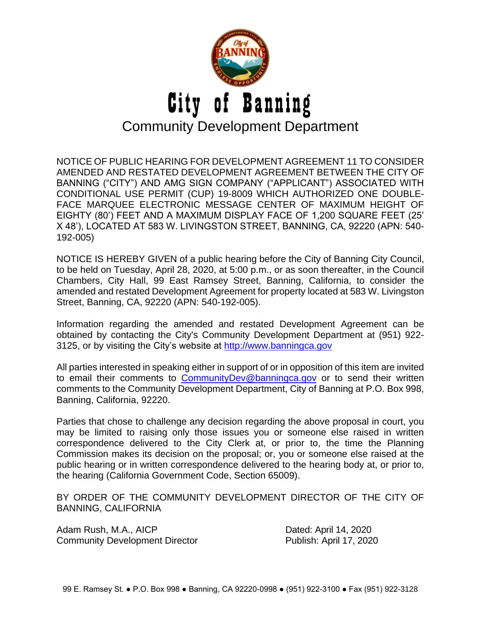

NOTICE OF PUBLIC HEARING FOR DEVELOPMENT AGREEMENT 11 TO CONSIDER AMENDED AND RESTATED DEVELOPMENT AGREEMENT BETWEEN THE CITY OF BANNING ("CITY") AND AMG SIGN COMPANY ("APPLICANT") ASSOCIATED WITH CONDITIONAL USE PERMIT (CUP) 19-8009 WHICH AUTHORIZED ONE DOUBLE-FACE MARQUEE ELECTRONIC MESSAGE CENTER OF MAXIMUM HEIGHT OF EIGHTY (80') FEET AND A MAXIMUM DISPLAY FACE OF 1,200 SQUARE FEET (25' X 48'), LOCATED AT 583 W. LIVINGSTON STREET, BANNING, CA, 92220 (APN: 540- 192-005)

NOTICE IS HEREBY GIVEN of a public hearing before the City of Banning City Council, to be held on Tuesday, April 28, 2020, at 5:00 p.m., or as soon thereafter, in the Council Chambers, City Hall, 99 East Ramsey Street, Banning, California, to consider the amended and restated Development Agreement for property located at 583 W. Livingston Street, Banning, CA, 92220 (APN: 540-192-005).

Information regarding the amended and restated Development Agreement can be obtained by contacting the City's Community Development Department at (951) 922- 3125, or by visiting the City's website at [http://www.banningca.gov](http://www.banningca.gov./)

All parties interested in speaking either in support of or in opposition of this item are invited to email their comments to [CommunityDev@banningca.gov](mailto:CommunityDev@banningca.gov) or to send their written comments to the Community Development Department, City of Banning at P.O. Box 998, Banning, California, 92220.

Parties that chose to challenge any decision regarding the above proposal in court, you may be limited to raising only those issues you or someone else raised in written correspondence delivered to the City Clerk at, or prior to, the time the Planning Commission makes its decision on the proposal; or, you or someone else raised at the public hearing or in written correspondence delivered to the hearing body at, or prior to, the hearing (California Government Code, Section 65009).

BY ORDER OF THE COMMUNITY DEVELOPMENT DIRECTOR OF THE CITY OF BANNING, CALIFORNIA

Adam Rush, M.A., AICP Dated: April 14, 2020 Community Development Director **Publish: April 17, 2020**